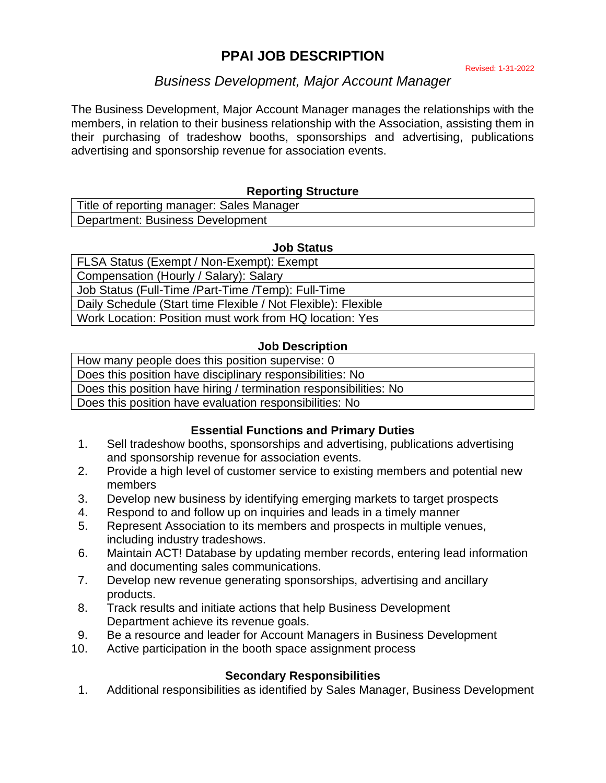# **PPAI JOB DESCRIPTION**

#### Revised: 1-31-2022

# *Business Development, Major Account Manager*

The Business Development, Major Account Manager manages the relationships with the members, in relation to their business relationship with the Association, assisting them in their purchasing of tradeshow booths, sponsorships and advertising, publications advertising and sponsorship revenue for association events.

### **Reporting Structure**

| Title of reporting manager: Sales Manager |
|-------------------------------------------|
| Department: Business Development          |

#### **Job Status**

FLSA Status (Exempt / Non-Exempt): Exempt Compensation (Hourly / Salary): Salary Job Status (Full-Time /Part-Time /Temp): Full-Time Daily Schedule (Start time Flexible / Not Flexible): Flexible Work Location: Position must work from HQ location: Yes

#### **Job Description**

| How many people does this position supervise: 0                   |
|-------------------------------------------------------------------|
| Does this position have disciplinary responsibilities: No         |
| Does this position have hiring / termination responsibilities: No |
| Does this position have evaluation responsibilities: No           |

#### **Essential Functions and Primary Duties**

- 1. Sell tradeshow booths, sponsorships and advertising, publications advertising and sponsorship revenue for association events.
- 2. Provide a high level of customer service to existing members and potential new members
- 3. Develop new business by identifying emerging markets to target prospects
- 4. Respond to and follow up on inquiries and leads in a timely manner
- 5. Represent Association to its members and prospects in multiple venues, including industry tradeshows.
- 6. Maintain ACT! Database by updating member records, entering lead information and documenting sales communications.
- 7. Develop new revenue generating sponsorships, advertising and ancillary products.
- 8. Track results and initiate actions that help Business Development Department achieve its revenue goals.
- 9. Be a resource and leader for Account Managers in Business Development
- 10. Active participation in the booth space assignment process

#### **Secondary Responsibilities**

1. Additional responsibilities as identified by Sales Manager, Business Development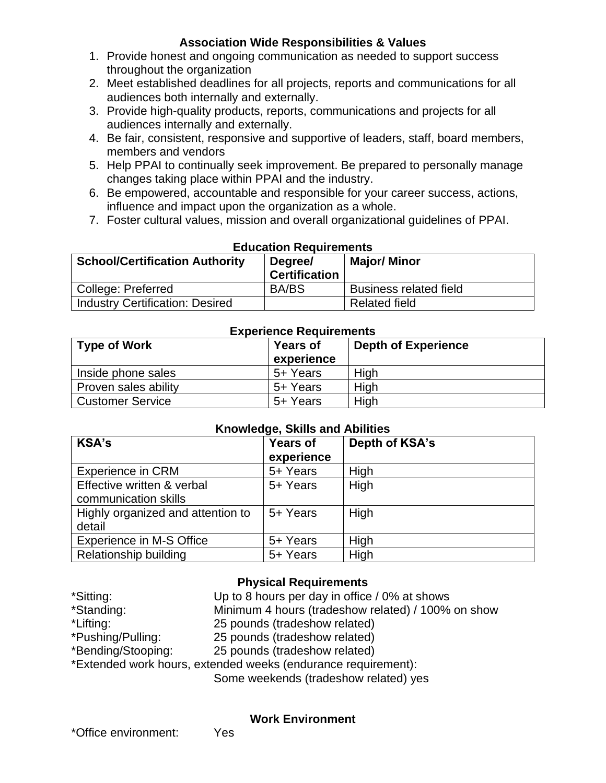# **Association Wide Responsibilities & Values**

- 1. Provide honest and ongoing communication as needed to support success throughout the organization
- 2. Meet established deadlines for all projects, reports and communications for all audiences both internally and externally.
- 3. Provide high-quality products, reports, communications and projects for all audiences internally and externally.
- 4. Be fair, consistent, responsive and supportive of leaders, staff, board members, members and vendors
- 5. Help PPAI to continually seek improvement. Be prepared to personally manage changes taking place within PPAI and the industry.
- 6. Be empowered, accountable and responsible for your career success, actions, influence and impact upon the organization as a whole.
- 7. Foster cultural values, mission and overall organizational guidelines of PPAI.

| <b>School/Certification Authority</b>  | Luucation Regunements<br>Degree/<br><b>Certification</b> | <b>Major/ Minor</b>           |
|----------------------------------------|----------------------------------------------------------|-------------------------------|
| College: Preferred                     | <b>BA/BS</b>                                             | <b>Business related field</b> |
| <b>Industry Certification: Desired</b> |                                                          | <b>Related field</b>          |

#### **Education Requirements**

| <b>Experience Requirements</b> |                               |                            |  |  |
|--------------------------------|-------------------------------|----------------------------|--|--|
| Type of Work                   | <b>Years of</b><br>experience | <b>Depth of Experience</b> |  |  |
| Inside phone sales             | 5+ Years                      | High                       |  |  |
| Proven sales ability           | 5+ Years                      | High                       |  |  |
| <b>Customer Service</b>        | 5+ Years                      | High                       |  |  |

#### **Knowledge, Skills and Abilities**

| <b>KSA's</b>                                       | <b>Years of</b><br>experience | Depth of KSA's |
|----------------------------------------------------|-------------------------------|----------------|
| <b>Experience in CRM</b>                           | 5+ Years                      | High           |
| Effective written & verbal<br>communication skills | 5+ Years                      | High           |
| Highly organized and attention to<br>detail        | 5+ Years                      | High           |
| Experience in M-S Office                           | 5+ Years                      | High           |
| Relationship building                              | 5+ Years                      | High           |

# **Physical Requirements**

| *Sitting:                                                     | Up to 8 hours per day in office / 0% at shows      |  |  |
|---------------------------------------------------------------|----------------------------------------------------|--|--|
| *Standing:                                                    | Minimum 4 hours (tradeshow related) / 100% on show |  |  |
| *Lifting:                                                     | 25 pounds (tradeshow related)                      |  |  |
| *Pushing/Pulling:                                             | 25 pounds (tradeshow related)                      |  |  |
| *Bending/Stooping:                                            | 25 pounds (tradeshow related)                      |  |  |
| *Extended work hours, extended weeks (endurance requirement): |                                                    |  |  |
|                                                               | Some weekends (tradeshow related) yes              |  |  |
|                                                               |                                                    |  |  |

#### **Work Environment**

\*Office environment: Yes